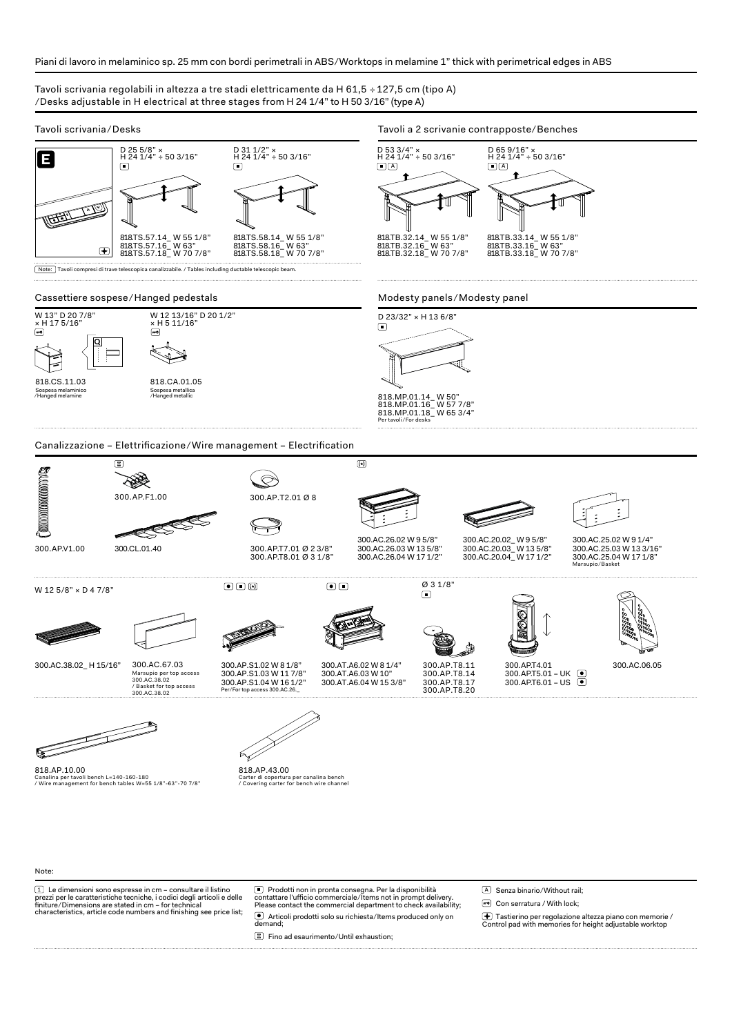## Piani di lavoro in melaminico sp. 25 mm con bordi perimetrali in ABS ⁄ Worktops in melamine 1" thick with perimetrical edges in ABS

## Tavoli scrivania regolabili in altezza a tre stadi elettricamente da H 61,5 ÷ 127,5 cm (tipo A) ⁄ Desks adjustable in H electrical at three stages from H 24 1/4" to H 50 3/16" (type A)



## Note:

(1) Le dimensioni sono espresse in cm – consultare il listino<br>prezzi per le caratteristiche tecniche, i codici degli articoli e delle<br>finiture/Dimensions are stated in cm – for technical<br>characteristics, article code numb

(■) Prodotti non in pronta consegna. Per la disponibilità<br>contattare l'ufficio commerciale/Items not in prompt delivery.<br>Please contact the commercial department to check availability; ● Articoli prodotti solo su richiesta/Items produced only on<br>demand;

Fino ad esaurimento ⁄ Until exhaustion;

A Senza binario/Without rail;

Con serratura / With lock;

Tastierino per regolazione altezza piano con memorie / Control pad with memories for height adjustable worktop